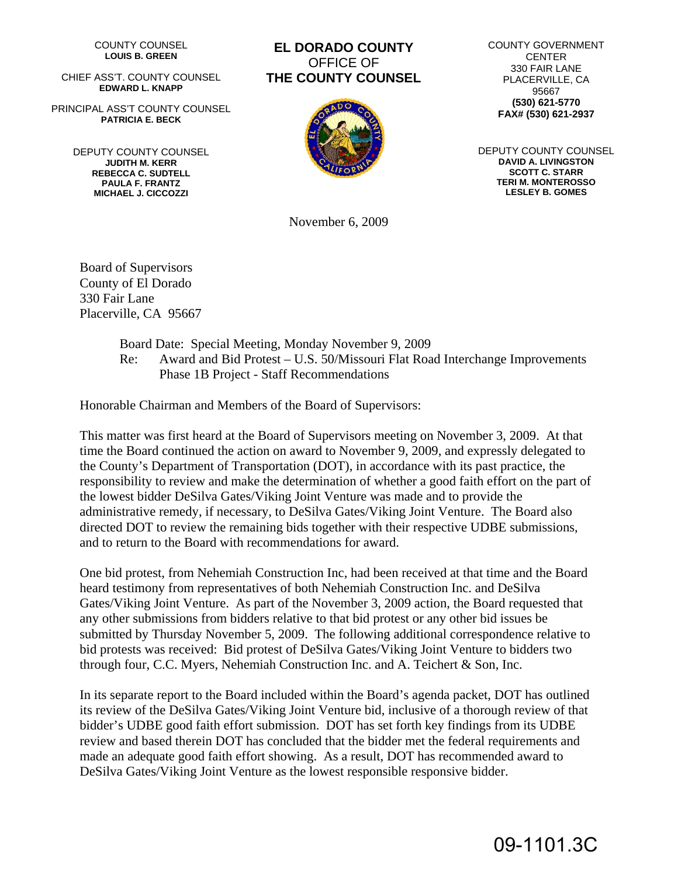COUNTY COUNSEL **LOUIS B. GREEN** 

CHIEF ASS'T. COUNTY COUNSEL **EDWARD L. KNAPP** 

PRINCIPAL ASS'T COUNTY COUNSEL **PATRICIA E. BECK** 

> DEPUTY COUNTY COUNSEL **JUDITH M. KERR REBECCA C. SUDTELL PAULA F. FRANTZ MICHAEL J. CICCOZZI**

# **EL DORADO COUNTY**  OFFICE OF **THE COUNTY COUNSEL**



COUNTY GOVERNMENT CENTER 330 FAIR LANE PLACERVILLE, CA 95667 **(530) 621-5770 FAX# (530) 621-2937** 

DEPUTY COUNTY COUNSEL **DAVID A. LIVINGSTON SCOTT C. STARR TERI M. MONTEROSSO LESLEY B. GOMES**

November 6, 2009

Board of Supervisors County of El Dorado 330 Fair Lane Placerville, CA 95667

> Board Date: Special Meeting, Monday November 9, 2009 Re: Award and Bid Protest – U.S. 50/Missouri Flat Road Interchange Improvements Phase 1B Project - Staff Recommendations

Honorable Chairman and Members of the Board of Supervisors:

This matter was first heard at the Board of Supervisors meeting on November 3, 2009. At that time the Board continued the action on award to November 9, 2009, and expressly delegated to the County's Department of Transportation (DOT), in accordance with its past practice, the responsibility to review and make the determination of whether a good faith effort on the part of the lowest bidder DeSilva Gates/Viking Joint Venture was made and to provide the administrative remedy, if necessary, to DeSilva Gates/Viking Joint Venture. The Board also directed DOT to review the remaining bids together with their respective UDBE submissions, and to return to the Board with recommendations for award.

One bid protest, from Nehemiah Construction Inc, had been received at that time and the Board heard testimony from representatives of both Nehemiah Construction Inc. and DeSilva Gates/Viking Joint Venture. As part of the November 3, 2009 action, the Board requested that any other submissions from bidders relative to that bid protest or any other bid issues be submitted by Thursday November 5, 2009. The following additional correspondence relative to bid protests was received: Bid protest of DeSilva Gates/Viking Joint Venture to bidders two through four, C.C. Myers, Nehemiah Construction Inc. and A. Teichert & Son, Inc.

In its separate report to the Board included within the Board's agenda packet, DOT has outlined its review of the DeSilva Gates/Viking Joint Venture bid, inclusive of a thorough review of that bidder's UDBE good faith effort submission. DOT has set forth key findings from its UDBE review and based therein DOT has concluded that the bidder met the federal requirements and made an adequate good faith effort showing. As a result, DOT has recommended award to DeSilva Gates/Viking Joint Venture as the lowest responsible responsive bidder.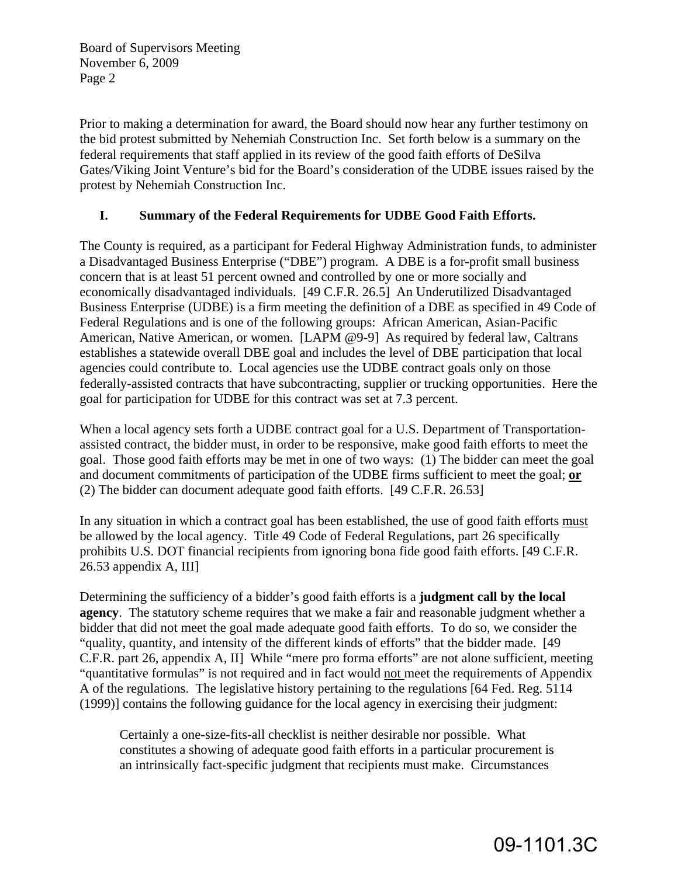Prior to making a determination for award, the Board should now hear any further testimony on the bid protest submitted by Nehemiah Construction Inc. Set forth below is a summary on the federal requirements that staff applied in its review of the good faith efforts of DeSilva Gates/Viking Joint Venture's bid for the Board's consideration of the UDBE issues raised by the protest by Nehemiah Construction Inc.

## **I. Summary of the Federal Requirements for UDBE Good Faith Efforts.**

The County is required, as a participant for Federal Highway Administration funds, to administer a Disadvantaged Business Enterprise ("DBE") program. A DBE is a for-profit small business concern that is at least 51 percent owned and controlled by one or more socially and economically disadvantaged individuals. [49 C.F.R. 26.5] An Underutilized Disadvantaged Business Enterprise (UDBE) is a firm meeting the definition of a DBE as specified in 49 Code of Federal Regulations and is one of the following groups: African American, Asian-Pacific American, Native American, or women. [LAPM @9-9] As required by federal law, Caltrans establishes a statewide overall DBE goal and includes the level of DBE participation that local agencies could contribute to. Local agencies use the UDBE contract goals only on those federally-assisted contracts that have subcontracting, supplier or trucking opportunities. Here the goal for participation for UDBE for this contract was set at 7.3 percent.

When a local agency sets forth a UDBE contract goal for a U.S. Department of Transportationassisted contract, the bidder must, in order to be responsive, make good faith efforts to meet the goal. Those good faith efforts may be met in one of two ways: (1) The bidder can meet the goal and document commitments of participation of the UDBE firms sufficient to meet the goal; **or**  (2) The bidder can document adequate good faith efforts. [49 C.F.R. 26.53]

In any situation in which a contract goal has been established, the use of good faith efforts must be allowed by the local agency. Title 49 Code of Federal Regulations, part 26 specifically prohibits U.S. DOT financial recipients from ignoring bona fide good faith efforts. [49 C.F.R. 26.53 appendix A, III]

Determining the sufficiency of a bidder's good faith efforts is a **judgment call by the local agency**. The statutory scheme requires that we make a fair and reasonable judgment whether a bidder that did not meet the goal made adequate good faith efforts. To do so, we consider the "quality, quantity, and intensity of the different kinds of efforts" that the bidder made. [49 C.F.R. part 26, appendix A, II] While "mere pro forma efforts" are not alone sufficient, meeting "quantitative formulas" is not required and in fact would not meet the requirements of Appendix A of the regulations. The legislative history pertaining to the regulations [64 Fed. Reg. 5114 (1999)] contains the following guidance for the local agency in exercising their judgment:

Certainly a one-size-fits-all checklist is neither desirable nor possible. What constitutes a showing of adequate good faith efforts in a particular procurement is an intrinsically fact-specific judgment that recipients must make. Circumstances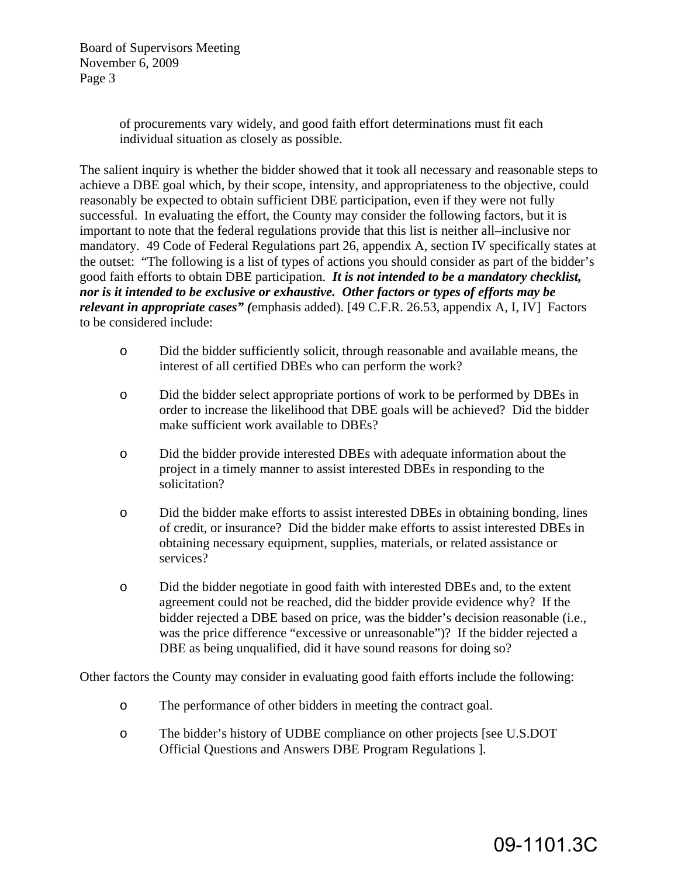> of procurements vary widely, and good faith effort determinations must fit each individual situation as closely as possible.

The salient inquiry is whether the bidder showed that it took all necessary and reasonable steps to achieve a DBE goal which, by their scope, intensity, and appropriateness to the objective, could reasonably be expected to obtain sufficient DBE participation, even if they were not fully successful. In evaluating the effort, the County may consider the following factors, but it is important to note that the federal regulations provide that this list is neither all–inclusive nor mandatory. 49 Code of Federal Regulations part 26, appendix A, section IV specifically states at the outset: "The following is a list of types of actions you should consider as part of the bidder's good faith efforts to obtain DBE participation. *It is not intended to be a mandatory checklist, nor is it intended to be exclusive or exhaustive. Other factors or types of efforts may be relevant in appropriate cases" (*emphasis added). [49 C.F.R. 26.53, appendix A, I, IV] Factors to be considered include:

- o Did the bidder sufficiently solicit, through reasonable and available means, the interest of all certified DBEs who can perform the work?
- o Did the bidder select appropriate portions of work to be performed by DBEs in order to increase the likelihood that DBE goals will be achieved? Did the bidder make sufficient work available to DBEs?
- o Did the bidder provide interested DBEs with adequate information about the project in a timely manner to assist interested DBEs in responding to the solicitation?
- o Did the bidder make efforts to assist interested DBEs in obtaining bonding, lines of credit, or insurance? Did the bidder make efforts to assist interested DBEs in obtaining necessary equipment, supplies, materials, or related assistance or services?
- o Did the bidder negotiate in good faith with interested DBEs and, to the extent agreement could not be reached, did the bidder provide evidence why? If the bidder rejected a DBE based on price, was the bidder's decision reasonable (i.e., was the price difference "excessive or unreasonable")? If the bidder rejected a DBE as being unqualified, did it have sound reasons for doing so?

Other factors the County may consider in evaluating good faith efforts include the following:

- o The performance of other bidders in meeting the contract goal.
- o The bidder's history of UDBE compliance on other projects [see U.S.DOT Official Questions and Answers DBE Program Regulations ].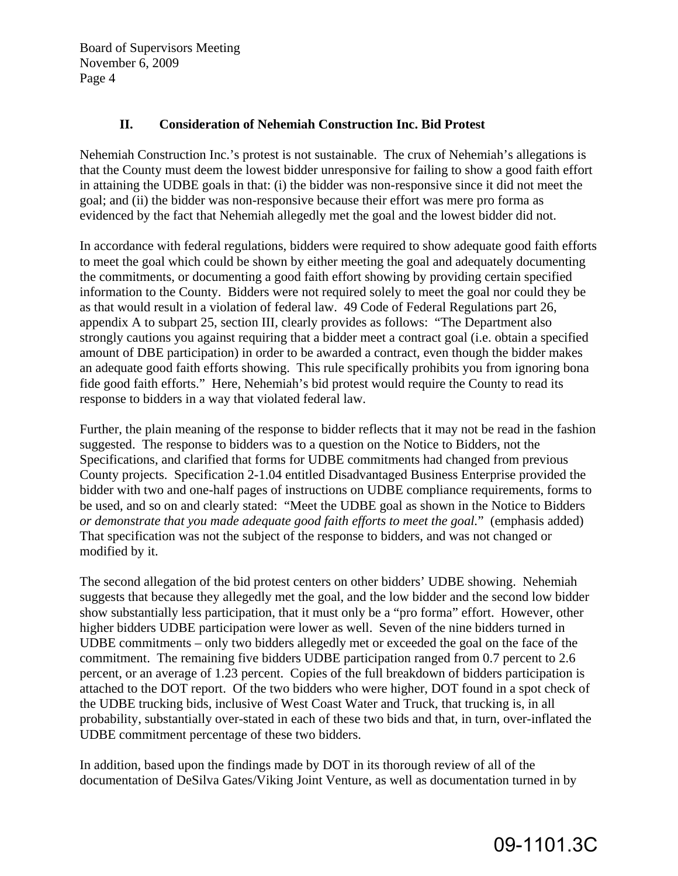### **II. Consideration of Nehemiah Construction Inc. Bid Protest**

Nehemiah Construction Inc.'s protest is not sustainable. The crux of Nehemiah's allegations is that the County must deem the lowest bidder unresponsive for failing to show a good faith effort in attaining the UDBE goals in that: (i) the bidder was non-responsive since it did not meet the goal; and (ii) the bidder was non-responsive because their effort was mere pro forma as evidenced by the fact that Nehemiah allegedly met the goal and the lowest bidder did not.

In accordance with federal regulations, bidders were required to show adequate good faith efforts to meet the goal which could be shown by either meeting the goal and adequately documenting the commitments, or documenting a good faith effort showing by providing certain specified information to the County. Bidders were not required solely to meet the goal nor could they be as that would result in a violation of federal law. 49 Code of Federal Regulations part 26, appendix A to subpart 25, section III, clearly provides as follows: "The Department also strongly cautions you against requiring that a bidder meet a contract goal (i.e. obtain a specified amount of DBE participation) in order to be awarded a contract, even though the bidder makes an adequate good faith efforts showing. This rule specifically prohibits you from ignoring bona fide good faith efforts." Here, Nehemiah's bid protest would require the County to read its response to bidders in a way that violated federal law.

Further, the plain meaning of the response to bidder reflects that it may not be read in the fashion suggested. The response to bidders was to a question on the Notice to Bidders, not the Specifications, and clarified that forms for UDBE commitments had changed from previous County projects. Specification 2-1.04 entitled Disadvantaged Business Enterprise provided the bidder with two and one-half pages of instructions on UDBE compliance requirements, forms to be used, and so on and clearly stated: "Meet the UDBE goal as shown in the Notice to Bidders *or demonstrate that you made adequate good faith efforts to meet the goal.*" (emphasis added) That specification was not the subject of the response to bidders, and was not changed or modified by it.

The second allegation of the bid protest centers on other bidders' UDBE showing. Nehemiah suggests that because they allegedly met the goal, and the low bidder and the second low bidder show substantially less participation, that it must only be a "pro forma" effort. However, other higher bidders UDBE participation were lower as well. Seven of the nine bidders turned in UDBE commitments – only two bidders allegedly met or exceeded the goal on the face of the commitment. The remaining five bidders UDBE participation ranged from 0.7 percent to 2.6 percent, or an average of 1.23 percent. Copies of the full breakdown of bidders participation is attached to the DOT report. Of the two bidders who were higher, DOT found in a spot check of the UDBE trucking bids, inclusive of West Coast Water and Truck, that trucking is, in all probability, substantially over-stated in each of these two bids and that, in turn, over-inflated the UDBE commitment percentage of these two bidders.

In addition, based upon the findings made by DOT in its thorough review of all of the documentation of DeSilva Gates/Viking Joint Venture, as well as documentation turned in by